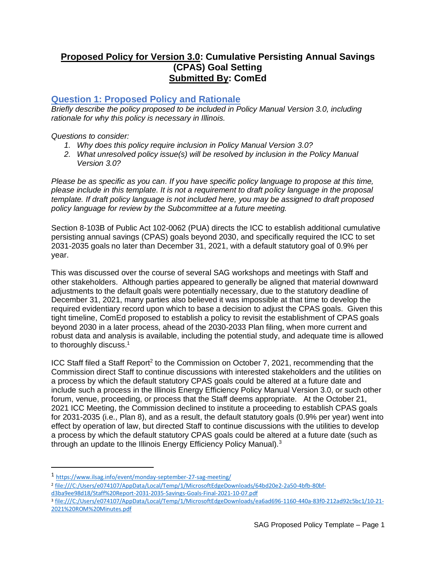## **Proposed Policy for Version 3.0: Cumulative Persisting Annual Savings (CPAS) Goal Setting Submitted By: ComEd**

### **Question 1: Proposed Policy and Rationale**

*Briefly describe the policy proposed to be included in Policy Manual Version 3.0, including rationale for why this policy is necessary in Illinois.* 

#### *Questions to consider:*

- *1. Why does this policy require inclusion in Policy Manual Version 3.0?*
- *2. What unresolved policy issue(s) will be resolved by inclusion in the Policy Manual Version 3.0?*

*Please be as specific as you can. If you have specific policy language to propose at this time, please include in this template. It is not a requirement to draft policy language in the proposal template. If draft policy language is not included here, you may be assigned to draft proposed policy language for review by the Subcommittee at a future meeting.*

Section 8-103B of Public Act 102-0062 (PUA) directs the ICC to establish additional cumulative persisting annual savings (CPAS) goals beyond 2030, and specifically required the ICC to set 2031-2035 goals no later than December 31, 2021, with a default statutory goal of 0.9% per year.

This was discussed over the course of several SAG workshops and meetings with Staff and other stakeholders. Although parties appeared to generally be aligned that material downward adjustments to the default goals were potentially necessary, due to the statutory deadline of December 31, 2021, many parties also believed it was impossible at that time to develop the required evidentiary record upon which to base a decision to adjust the CPAS goals. Given this tight timeline, ComEd proposed to establish a policy to revisit the establishment of CPAS goals beyond 2030 in a later process, ahead of the 2030-2033 Plan filing, when more current and robust data and analysis is available, including the potential study, and adequate time is allowed to thoroughly discuss.<sup>1</sup>

ICC Staff filed a Staff Report<sup>2</sup> to the Commission on October 7, 2021, recommending that the Commission direct Staff to continue discussions with interested stakeholders and the utilities on a process by which the default statutory CPAS goals could be altered at a future date and include such a process in the Illinois Energy Efficiency Policy Manual Version 3.0, or such other forum, venue, proceeding, or process that the Staff deems appropriate. At the October 21, 2021 ICC Meeting, the Commission declined to institute a proceeding to establish CPAS goals for 2031-2035 (i.e., Plan 8), and as a result, the default statutory goals (0.9% per year) went into effect by operation of law, but directed Staff to continue discussions with the utilities to develop a process by which the default statutory CPAS goals could be altered at a future date (such as through an update to the Illinois Energy Efficiency Policy Manual).<sup>3</sup>

- 2 [file:///C:/Users/e074107/AppData/Local/Temp/1/MicrosoftEdgeDownloads/64bd20e2-2a50-4bfb-80bf-](file:///C:/Users/e074107/AppData/Local/Temp/1/MicrosoftEdgeDownloads/64bd20e2-2a50-4bfb-80bf-d3ba9ee98d18/Staff%20Report-2031-2035-Savings-Goals-Final-2021-10-07.pdf)
- [d3ba9ee98d18/Staff%20Report-2031-2035-Savings-Goals-Final-2021-10-07.pdf](file:///C:/Users/e074107/AppData/Local/Temp/1/MicrosoftEdgeDownloads/64bd20e2-2a50-4bfb-80bf-d3ba9ee98d18/Staff%20Report-2031-2035-Savings-Goals-Final-2021-10-07.pdf)

<sup>1</sup> <https://www.ilsag.info/event/monday-september-27-sag-meeting/>

<sup>3</sup> [file:///C:/Users/e074107/AppData/Local/Temp/1/MicrosoftEdgeDownloads/ea6ad696-1160-440a-83f0-212ad92c5bc1/10-21-](file:///C:/Users/e074107/AppData/Local/Temp/1/MicrosoftEdgeDownloads/ea6ad696-1160-440a-83f0-212ad92c5bc1/10-21-2021%20ROM%20Minutes.pdf) [2021%20ROM%20Minutes.pdf](file:///C:/Users/e074107/AppData/Local/Temp/1/MicrosoftEdgeDownloads/ea6ad696-1160-440a-83f0-212ad92c5bc1/10-21-2021%20ROM%20Minutes.pdf)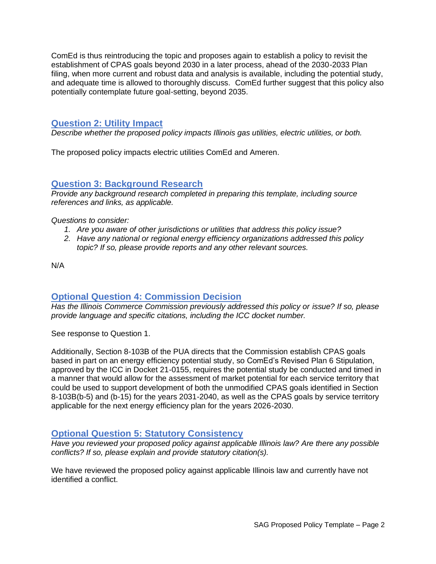ComEd is thus reintroducing the topic and proposes again to establish a policy to revisit the establishment of CPAS goals beyond 2030 in a later process, ahead of the 2030-2033 Plan filing, when more current and robust data and analysis is available, including the potential study, and adequate time is allowed to thoroughly discuss. ComEd further suggest that this policy also potentially contemplate future goal-setting, beyond 2035.

### **Question 2: Utility Impact**

*Describe whether the proposed policy impacts Illinois gas utilities, electric utilities, or both.* 

The proposed policy impacts electric utilities ComEd and Ameren.

## **Question 3: Background Research**

*Provide any background research completed in preparing this template, including source references and links, as applicable.* 

*Questions to consider:*

- *1. Are you aware of other jurisdictions or utilities that address this policy issue?*
- *2. Have any national or regional energy efficiency organizations addressed this policy topic? If so, please provide reports and any other relevant sources.*

N/A

#### **Optional Question 4: Commission Decision**

*Has the Illinois Commerce Commission previously addressed this policy or issue? If so, please provide language and specific citations, including the ICC docket number.*

See response to Question 1.

Additionally, Section 8-103B of the PUA directs that the Commission establish CPAS goals based in part on an energy efficiency potential study, so ComEd's Revised Plan 6 Stipulation, approved by the ICC in Docket 21-0155, requires the potential study be conducted and timed in a manner that would allow for the assessment of market potential for each service territory that could be used to support development of both the unmodified CPAS goals identified in Section 8-103B(b-5) and (b-15) for the years 2031-2040, as well as the CPAS goals by service territory applicable for the next energy efficiency plan for the years 2026-2030.

#### **Optional Question 5: Statutory Consistency**

*Have you reviewed your proposed policy against applicable Illinois law? Are there any possible conflicts? If so, please explain and provide statutory citation(s).*

We have reviewed the proposed policy against applicable Illinois law and currently have not identified a conflict.